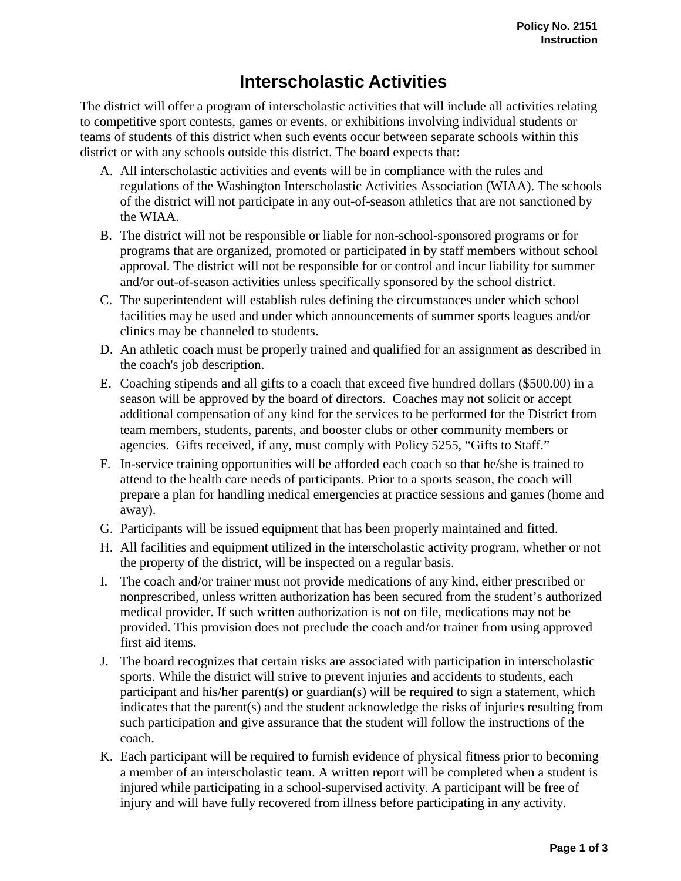## **Interscholastic Activities**

The district will offer a program of interscholastic activities that will include all activities relating to competitive sport contests, games or events, or exhibitions involving individual students or teams of students of this district when such events occur between separate schools within this district or with any schools outside this district. The board expects that:

- A. All interscholastic activities and events will be in compliance with the rules and regulations of the Washington Interscholastic Activities Association (WIAA). The schools of the district will not participate in any out-of-season athletics that are not sanctioned by the WIAA.
- B. The district will not be responsible or liable for non-school-sponsored programs or for programs that are organized, promoted or participated in by staff members without school approval. The district will not be responsible for or control and incur liability for summer and/or out-of-season activities unless specifically sponsored by the school district.
- C. The superintendent will establish rules defining the circumstances under which school facilities may be used and under which announcements of summer sports leagues and/or clinics may be channeled to students.
- D. An athletic coach must be properly trained and qualified for an assignment as described in the coach's job description.
- E. Coaching stipends and all gifts to a coach that exceed five hundred dollars (\$500.00) in a season will be approved by the board of directors. Coaches may not solicit or accept additional compensation of any kind for the services to be performed for the District from team members, students, parents, and booster clubs or other community members or agencies. Gifts received, if any, must comply with Policy 5255, "Gifts to Staff."
- F. In-service training opportunities will be afforded each coach so that he/she is trained to attend to the health care needs of participants. Prior to a sports season, the coach will prepare a plan for handling medical emergencies at practice sessions and games (home and away).
- G. Participants will be issued equipment that has been properly maintained and fitted.
- H. All facilities and equipment utilized in the interscholastic activity program, whether or not the property of the district, will be inspected on a regular basis.
- I. The coach and/or trainer must not provide medications of any kind, either prescribed or nonprescribed, unless written authorization has been secured from the student's authorized medical provider. If such written authorization is not on file, medications may not be provided. This provision does not preclude the coach and/or trainer from using approved first aid items.
- J. The board recognizes that certain risks are associated with participation in interscholastic sports. While the district will strive to prevent injuries and accidents to students, each participant and his/her parent(s) or guardian(s) will be required to sign a statement, which indicates that the parent(s) and the student acknowledge the risks of injuries resulting from such participation and give assurance that the student will follow the instructions of the coach.
- K. Each participant will be required to furnish evidence of physical fitness prior to becoming a member of an interscholastic team. A written report will be completed when a student is injured while participating in a school-supervised activity. A participant will be free of injury and will have fully recovered from illness before participating in any activity.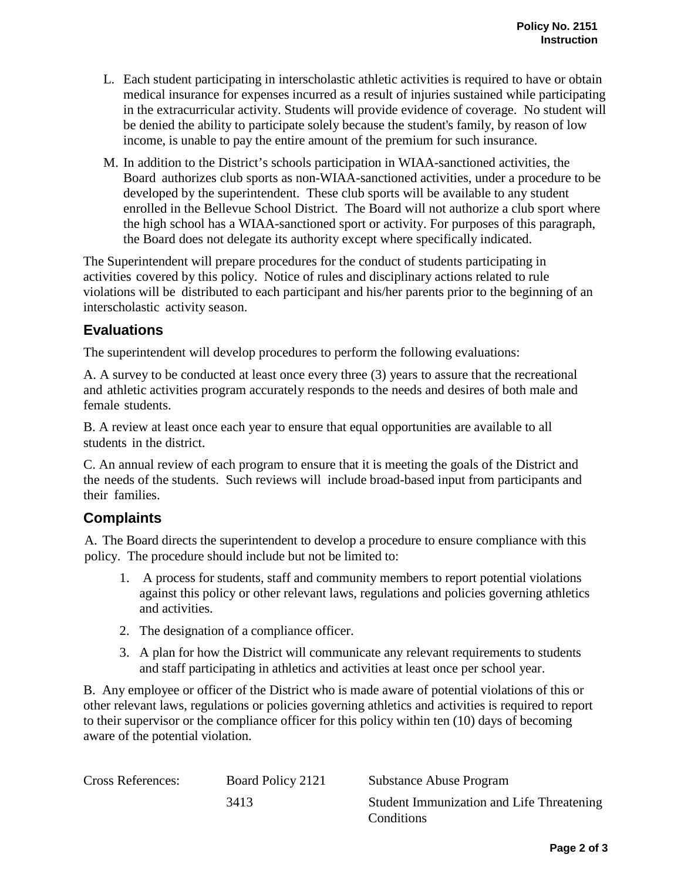- L. Each student participating in interscholastic athletic activities is required to have or obtain medical insurance for expenses incurred as a result of injuries sustained while participating in the extracurricular activity. Students will provide evidence of coverage. No student will be denied the ability to participate solely because the student's family, by reason of low income, is unable to pay the entire amount of the premium for such insurance.
- M. In addition to the District's schools participation in WIAA-sanctioned activities, the Board authorizes club sports as non-WIAA-sanctioned activities, under a procedure to be developed by the superintendent. These club sports will be available to any student enrolled in the Bellevue School District. The Board will not authorize a club sport where the high school has a WIAA-sanctioned sport or activity. For purposes of this paragraph, the Board does not delegate its authority except where specifically indicated.

The Superintendent will prepare procedures for the conduct of students participating in activities covered by this policy. Notice of rules and disciplinary actions related to rule violations will be distributed to each participant and his/her parents prior to the beginning of an interscholastic activity season.

## **Evaluations**

The superintendent will develop procedures to perform the following evaluations:

A. A survey to be conducted at least once every three (3) years to assure that the recreational and athletic activities program accurately responds to the needs and desires of both male and female students.

B. A review at least once each year to ensure that equal opportunities are available to all students in the district.

C. An annual review of each program to ensure that it is meeting the goals of the District and the needs of the students. Such reviews will include broad-based input from participants and their families.

## **Complaints**

A. The Board directs the superintendent to develop a procedure to ensure compliance with this policy. The procedure should include but not be limited to:

- 1. A process for students, staff and community members to report potential violations against this policy or other relevant laws, regulations and policies governing athletics and activities.
- 2. The designation of a compliance officer.
- 3. A plan for how the District will communicate any relevant requirements to students and staff participating in athletics and activities at least once per school year.

B. Any employee or officer of the District who is made aware of potential violations of this or other relevant laws, regulations or policies governing athletics and activities is required to report to their supervisor or the compliance officer for this policy within ten (10) days of becoming aware of the potential violation.

| <b>Cross References:</b> | Board Policy 2121 | Substance Abuse Program                   |
|--------------------------|-------------------|-------------------------------------------|
|                          | 3413              | Student Immunization and Life Threatening |
|                          |                   | Conditions                                |